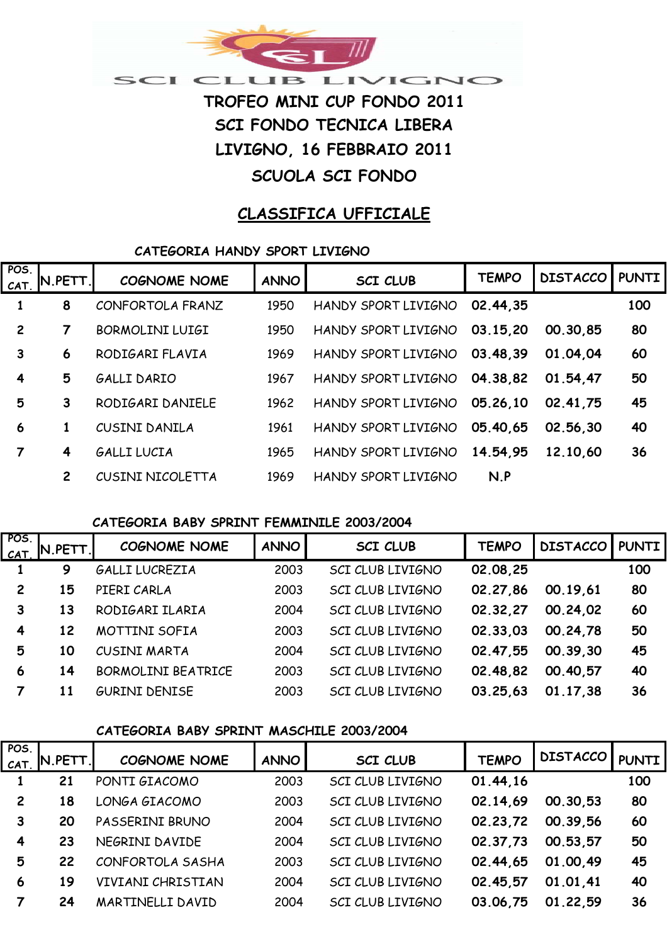

**LIVIGNO, 16 FEBBRAIO 2011**

# **SCUOLA SCI FONDO**

# **CLASSIFICA UFFICIALE**

## **CATEGORIA HANDY SPORT LIVIGNO**

| POS.<br>CAT.   | IN.PETT.I      | <b>COGNOME NOME</b> | <b>ANNO</b> | <b>SCI CLUB</b>     | <b>TEMPO</b> | <b>DISTACCO</b> | <b>I PUNTI</b> |
|----------------|----------------|---------------------|-------------|---------------------|--------------|-----------------|----------------|
|                | 8              | CONFORTOLA FRANZ    | 1950        | HANDY SPORT LIVIGNO | 02.44.35     |                 | 100            |
| $\overline{2}$ | 7              | BORMOLINI LUIGI     | 1950        | HANDY SPORT LIVIGNO | 03.15,20     | 00.30.85        | 80             |
| 3              | 6              | RODIGARI FLAVIA     | 1969        | HANDY SPORT LIVIGNO | 03.48,39     | 01.04.04        | 60             |
| 4              | 5              | <b>GALLI DARIO</b>  | 1967        | HANDY SPORT LIVIGNO | 04.38.82     | 01.54.47        | 50             |
| 5              | 3              | RODIGARI DANIELE    | 1962        | HANDY SPORT LIVIGNO | 05.26,10     | 02.41.75        | 45             |
| 6              |                | CUSINI DANILA       | 1961        | HANDY SPORT LIVIGNO | 05.40,65     | 02.56.30        | 40             |
| 7              | 4              | <b>GALLI LUCIA</b>  | 1965        | HANDY SPORT LIVIGNO | 14.54.95     | 12.10.60        | 36             |
|                | $\overline{2}$ | CUSINI NICOLETTA    | 1969        | HANDY SPORT LIVIGNO | N.P          |                 |                |

## **CATEGORIA BABY SPRINT FEMMINILE 2003/2004**

| POS.<br>CAT.   | N.PETT. | <b>COGNOME NOME</b>       | <b>ANNO</b> | <b>SCI CLUB</b>  | <b>TEMPO</b> | <b>DISTACCO PUNTI</b> |     |
|----------------|---------|---------------------------|-------------|------------------|--------------|-----------------------|-----|
|                | 9       | GALLI LUCREZIA            | 2003        | SCI CLUB LIVIGNO | 02.08.25     |                       | 100 |
| $\overline{2}$ | 15      | PIERI CARLA               | 2003        | SCI CLUB LIVIGNO | 02.27,86     | 00.19,61              | 80  |
|                | 13      | RODIGARI ILARIA           | 2004        | SCI CLUB LIVIGNO | 02.32,27     | 00.24.02              | 60  |
| 4              | 12      | MOTTINI SOFIA             | 2003        | SCI CLUB LIVIGNO | 02.33.03     | 00.24.78              | 50  |
| 5              | 10      | CUSINI MARTA              | 2004        | SCI CLUB LIVIGNO | 02.47.55     | 00.39.30              | 45  |
| 6              | 14      | <b>BORMOLINI BEATRICE</b> | 2003        | SCI CLUB LIVIGNO | 02.48,82     | 00.40.57              | 40  |
|                | 11      | <b>GURINI DENISE</b>      | 2003        | SCI CLUB LIVIGNO | 03.25.63     | 01.17.38              | 36  |

## **CATEGORIA BABY SPRINT MASCHILE 2003/2004**

| POS            | N.PETT. | <b>COGNOME NOME</b> | <b>ANNO</b> | <b>SCI CLUB</b>         | <b>TEMPO</b> | <b>DISTACCO</b> | <b>PUNTI</b> |
|----------------|---------|---------------------|-------------|-------------------------|--------------|-----------------|--------------|
| <b>CAT</b>     |         |                     |             |                         |              |                 |              |
|                | 21      | PONTI GIACOMO       | 2003        | <b>SCI CLUB LIVIGNO</b> | 01.44.16     |                 | 100          |
| $\overline{c}$ | 18      | LONGA GIACOMO       | 2003        | <b>SCI CLUB LIVIGNO</b> | 02.14.69     | 00.30.53        | 80           |
| 3              | 20      | PASSERINI BRUNO     | 2004        | <b>SCI CLUB LIVIGNO</b> | 02.23,72     | 00.39.56        | 60           |
| 4              | 23      | NEGRINI DAVIDE      | 2004        | SCI CLUB LIVIGNO        | 02.37.73     | 00.53.57        | 50           |
| 5              | 22      | CONFORTOLA SASHA    | 2003        | SCI CLUB LIVIGNO        | 02.44,65     | 01.00.49        | 45           |
| 6              | 19      | VIVIANI CHRISTIAN   | 2004        | SCI CLUB LIVIGNO        | 02.45.57     | 01.01.41        | 40           |
|                | 24      | MARTINELLI DAVID    | 2004        | <b>SCI CLUB LIVIGNO</b> | 03.06,75     | 01.22.59        | 36           |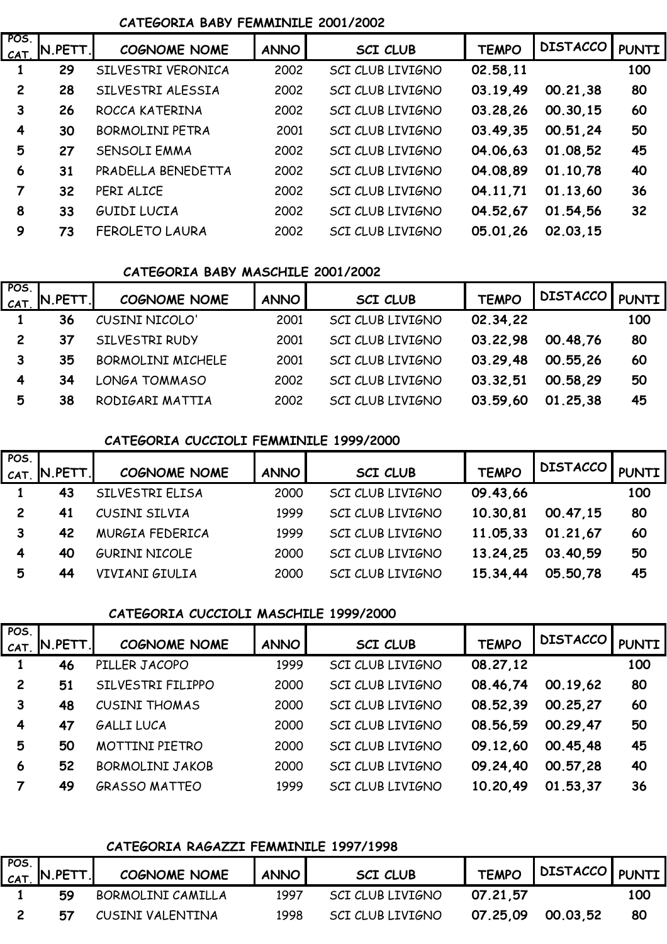#### **CATEGORIA BABY FEMMINILE 2001/2002**

| POS.<br>CAT. | $N.PETT$ . | <b>COGNOME NOME</b>    | <b>ANNO</b> | <b>SCI CLUB</b>         | <b>TEMPO</b> | <b>DISTACCO</b> | <b>PUNTI</b> |
|--------------|------------|------------------------|-------------|-------------------------|--------------|-----------------|--------------|
|              | 29         | SILVESTRI VERONICA     | 2002        | <b>SCI CLUB LIVIGNO</b> | 02.58,11     |                 | 100          |
| $\mathbf{2}$ | 28         | SILVESTRI ALESSIA      | 2002        | <b>SCI CLUB LIVIGNO</b> | 03.19,49     | 00.21,38        | 80           |
| 3            | 26         | ROCCA KATERINA         | 2002        | <b>SCI CLUB LIVIGNO</b> | 03.28,26     | 00.30.15        | 60           |
| 4            | 30         | <b>BORMOLINI PETRA</b> | 2001        | <b>SCI CLUB LIVIGNO</b> | 03.49,35     | 00.51,24        | 50           |
| 5            | 27         | <b>SENSOLI EMMA</b>    | 2002        | SCI CLUB LIVIGNO        | 04.06,63     | 01.08.52        | 45           |
| 6            | 31         | PRADELLA BENEDETTA     | 2002        | <b>SCI CLUB LIVIGNO</b> | 04.08.89     | 01.10.78        | 40           |
| 7            | 32         | PERI ALICE             | 2002        | SCI CLUB LIVIGNO        | 04.11,71     | 01.13,60        | 36           |
| 8            | 33         | GUIDI LUCIA            | 2002        | <b>SCI CLUB LIVIGNO</b> | 04.52,67     | 01.54,56        | 32           |
| 9            | 73         | <b>FEROLETO LAURA</b>  | 2002        | <b>SCI CLUB LIVIGNO</b> | 05.01.26     | 02.03.15        |              |

#### **CATEGORIA BABY MASCHILE 2001/2002**

| POS.<br>CAT    | N.PETT. | <b>COGNOME NOME</b>      | <b>ANNO</b> | <b>SCI CLUB</b>  | <b>TEMPO</b> | <b>DISTACCO</b> | <b>PUNTI</b> |
|----------------|---------|--------------------------|-------------|------------------|--------------|-----------------|--------------|
|                | 36      | CUSINI NICOLO'           | 2001        | SCI CLUB LIVIGNO | 02.34,22     |                 | 100          |
| $\overline{2}$ | 37      | SILVESTRI RUDY           | 2001        | SCI CLUB LIVIGNO | 03.22,98     | 00.48.76        | 80           |
| 3              | 35      | <b>BORMOLINI MICHELE</b> | 2001        | SCI CLUB LIVIGNO | 03.29,48     | 00.55.26        | 60           |
| 4              | 34      | LONGA TOMMASO            | 2002        | SCI CLUB LIVIGNO | 03.32,51     | 00.58,29        | 50           |
| 5              | 38      | RODIGARI MATTIA          | 2002        | SCI CLUB LIVIGNO | 03.59,60     | 01.25.38        | 45           |

## **CATEGORIA CUCCIOLI FEMMINILE 1999/2000**

| POS. | $ca$ <sub>T.</sub> N.PETT. | <b>COGNOME NOME</b>   | ANNO | SCI CLUB                | <b>TEMPO</b> | <b>DISTACCO</b> |     |
|------|----------------------------|-----------------------|------|-------------------------|--------------|-----------------|-----|
|      | 43                         | SILVESTRI ELISA       | 2000 | SCI CLUB LIVIGNO        | 09.43,66     |                 | 100 |
|      | 41                         | CUSINI SILVIA         | 1999 | SCI CLUB LIVIGNO        | 10.30,81     | 00.47,15        | 80  |
|      | 42                         | MURGIA FEDERICA       | 1999 | <b>SCI CLUB LIVIGNO</b> | 11.05,33     | 01.21,67        | 60  |
| 4    | 40                         | <b>GURINI NICOLE</b>  | 2000 | SCI CLUB LIVIGNO        | 13.24,25     | 03.40,59        | 50  |
| 5    | 44                         | <b>VIVIANI GIULIA</b> | 2000 | <b>SCI CLUB LIVIGNO</b> | 15.34.44     | 05.50,78        | 45  |

## **CATEGORIA CUCCIOLI MASCHILE 1999/2000**

| POS.           |          |                        |             |                         |              |                 |              |
|----------------|----------|------------------------|-------------|-------------------------|--------------|-----------------|--------------|
| CAT.           | I.PETT.I | <b>COGNOME NOME</b>    | <b>ANNO</b> | <b>SCI CLUB</b>         | <b>TEMPO</b> | <b>DISTACCO</b> | <b>PUNTI</b> |
|                | 46       | PILLER JACOPO          | 1999        | SCI CLUB LIVIGNO        | 08.27,12     |                 | 100          |
| $\overline{2}$ | 51       | SILVESTRI FILIPPO      | 2000        | <b>SCI CLUB LIVIGNO</b> | 08.46.74     | 00.19,62        | 80           |
| 3              | 48       | <b>CUSINI THOMAS</b>   | 2000        | <b>SCI CLUB LIVIGNO</b> | 08.52,39     | 00.25,27        | 60           |
| 4              | 47       | GALLI LUCA             | 2000        | SCI CLUB LIVIGNO        | 08.56.59     | 00.29,47        | 50           |
| 5              | 50       | <b>MOTTINI PIETRO</b>  | 2000        | SCI CLUB LIVIGNO        | 09.12,60     | 00.45.48        | 45           |
| 6              | 52       | <b>BORMOLINI JAKOB</b> | 2000        | SCI CLUB LIVIGNO        | 09.24,40     | 00.57,28        | 40           |
|                | 49       | <b>GRASSO MATTEO</b>   | 1999        | <b>SCI CLUB LIVIGNO</b> | 10.20.49     | 01.53.37        | 36           |

## **CATEGORIA RAGAZZI FEMMINILE 1997/1998**

| POS. | $ _{\mathcal{CAT}_\cdot} $ N.PETT. | COGNOME NOME      | <b>ANNO</b> | <b>SCI CLUB</b>  | <b>TEMPO</b> | DISTACCO PUNTI |     |
|------|------------------------------------|-------------------|-------------|------------------|--------------|----------------|-----|
|      | 59                                 | BORMOLINI CAMILLA | 1997        | SCI CLUB LIVIGNO | 07.21,57     |                | 100 |
|      | 57                                 | CUSINI VALENTINA  | 1998        | SCI CLUB LIVIGNO | 07.25.09     | 00.03.52       | 80  |